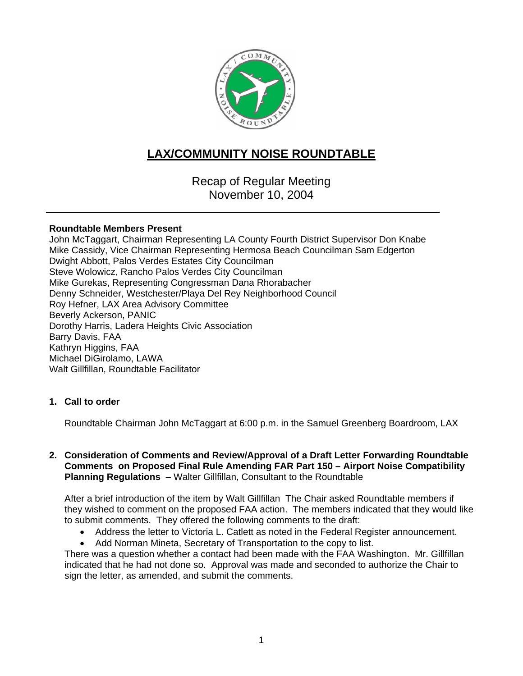

# **LAX/COMMUNITY NOISE ROUNDTABLE**

Recap of Regular Meeting November 10, 2004

#### **Roundtable Members Present**

John McTaggart, Chairman Representing LA County Fourth District Supervisor Don Knabe Mike Cassidy, Vice Chairman Representing Hermosa Beach Councilman Sam Edgerton Dwight Abbott, Palos Verdes Estates City Councilman Steve Wolowicz, Rancho Palos Verdes City Councilman Mike Gurekas, Representing Congressman Dana Rhorabacher Denny Schneider, Westchester/Playa Del Rey Neighborhood Council Roy Hefner, LAX Area Advisory Committee Beverly Ackerson, PANIC Dorothy Harris, Ladera Heights Civic Association Barry Davis, FAA Kathryn Higgins, FAA Michael DiGirolamo, LAWA Walt Gillfillan, Roundtable Facilitator

## **1. Call to order**

Roundtable Chairman John McTaggart at 6:00 p.m. in the Samuel Greenberg Boardroom, LAX

#### **2. Consideration of Comments and Review/Approval of a Draft Letter Forwarding Roundtable Comments on Proposed Final Rule Amending FAR Part 150 – Airport Noise Compatibility Planning Regulations** – Walter Gillfillan, Consultant to the Roundtable

After a brief introduction of the item by Walt Gillfillan The Chair asked Roundtable members if they wished to comment on the proposed FAA action. The members indicated that they would like to submit comments. They offered the following comments to the draft:

- Address the letter to Victoria L. Catlett as noted in the Federal Register announcement.
- Add Norman Mineta, Secretary of Transportation to the copy to list.

There was a question whether a contact had been made with the FAA Washington. Mr. Gillfillan indicated that he had not done so. Approval was made and seconded to authorize the Chair to sign the letter, as amended, and submit the comments.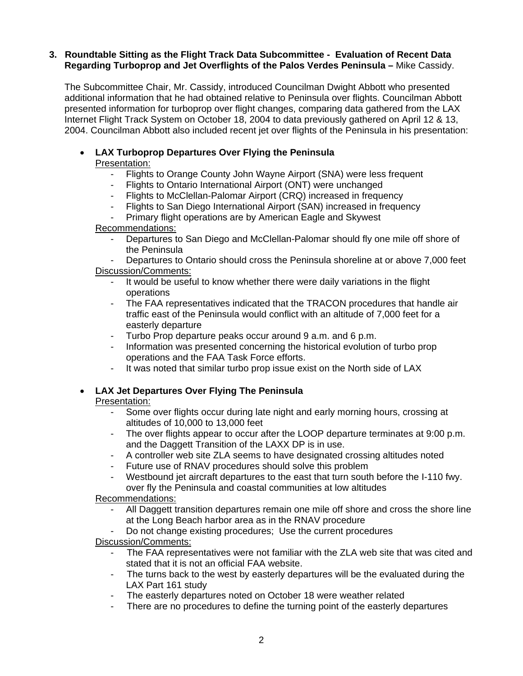#### **3. Roundtable Sitting as the Flight Track Data Subcommittee - Evaluation of Recent Data Regarding Turboprop and Jet Overflights of the Palos Verdes Peninsula –** Mike Cassidy.

The Subcommittee Chair, Mr. Cassidy, introduced Councilman Dwight Abbott who presented additional information that he had obtained relative to Peninsula over flights. Councilman Abbott presented information for turboprop over flight changes, comparing data gathered from the LAX Internet Flight Track System on October 18, 2004 to data previously gathered on April 12 & 13, 2004. Councilman Abbott also included recent jet over flights of the Peninsula in his presentation:

## • **LAX Turboprop Departures Over Flying the Peninsula**  Presentation:

- Flights to Orange County John Wayne Airport (SNA) were less frequent
- Flights to Ontario International Airport (ONT) were unchanged
- Flights to McClellan-Palomar Airport (CRQ) increased in frequency
- Flights to San Diego International Airport (SAN) increased in frequency
- Primary flight operations are by American Eagle and Skywest

## Recommendations:

- Departures to San Diego and McClellan-Palomar should fly one mile off shore of the Peninsula
- Departures to Ontario should cross the Peninsula shoreline at or above 7,000 feet Discussion/Comments:
	- It would be useful to know whether there were daily variations in the flight operations
	- The FAA representatives indicated that the TRACON procedures that handle air traffic east of the Peninsula would conflict with an altitude of 7,000 feet for a easterly departure
	- Turbo Prop departure peaks occur around 9 a.m. and 6 p.m.
	- Information was presented concerning the historical evolution of turbo prop operations and the FAA Task Force efforts.
	- It was noted that similar turbo prop issue exist on the North side of LAX

## • **LAX Jet Departures Over Flying The Peninsula**

#### Presentation:

- Some over flights occur during late night and early morning hours, crossing at altitudes of 10,000 to 13,000 feet
- The over flights appear to occur after the LOOP departure terminates at 9:00 p.m. and the Daggett Transition of the LAXX DP is in use.
- A controller web site ZLA seems to have designated crossing altitudes noted
- Future use of RNAV procedures should solve this problem
- Westbound jet aircraft departures to the east that turn south before the I-110 fwy. over fly the Peninsula and coastal communities at low altitudes

## Recommendations:

- All Daggett transition departures remain one mile off shore and cross the shore line at the Long Beach harbor area as in the RNAV procedure
- Do not change existing procedures; Use the current procedures

## Discussion/Comments:

- The FAA representatives were not familiar with the ZLA web site that was cited and stated that it is not an official FAA website.
- The turns back to the west by easterly departures will be the evaluated during the LAX Part 161 study
- The easterly departures noted on October 18 were weather related
- There are no procedures to define the turning point of the easterly departures